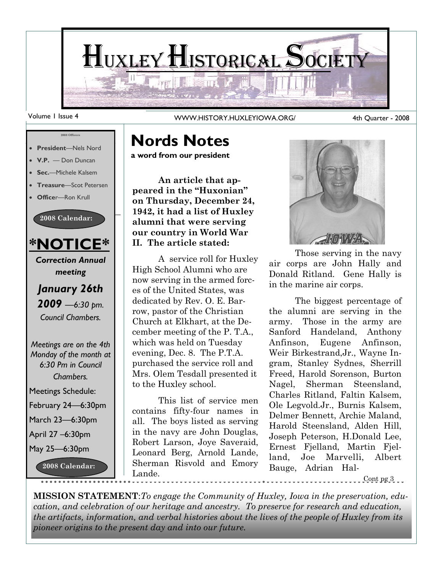

Volume 1 Issue 4 WWW.HISTORY.HUXLEYIOWA.ORG/

#### 4th Quarter - 2008



#### **Nords Notes**

**a word from our president**

**An article that appeared in the "Huxonian" on Thursday, December 24, 1942, it had a list of Huxley alumni that were serving our country in World War II. The article stated:**

A service roll for Huxley High School Alumni who are now serving in the armed forces of the United States, was dedicated by Rev. O. E. Barrow, pastor of the Christian Church at Elkhart, at the December meeting of the P. T.A., which was held on Tuesday evening, Dec. 8. The P.T.A. purchased the service roll and Mrs. Olem Tesdall presented it to the Huxley school.

This list of service men contains fifty-four names in all. The boys listed as serving in the navy are John Douglas, Robert Larson, Joye Saveraid, Leonard Berg, Arnold Lande, Sherman Risvold and Emory Lande.



Those serving in the navy air corps are John Hally and Donald Ritland. Gene Hally is in the marine air corps.

The biggest percentage of the alumni are serving in the army. Those in the army are Sanford Handeland, Anthony Anfinson, Eugene Anfinson, Weir Birkestrand,Jr., Wayne Ingram, Stanley Sydnes, Sherrill Freed, Harold Sorenson, Burton Nagel, Sherman Steensland, Charles Ritland, Faltin Kalsem, Ole Legvold.Jr., Burnis Kalsem, Delmer Bennett, Archie Maland, Harold Steensland, Alden Hill, Joseph Peterson, H.Donald Lee, Ernest Fjelland, Martin Fjelland, Joe Marvelli, Albert Bauge, Adrian Hal-

Cont pg 3

**MISSION STATEMENT**:*To engage the Community of Huxley, Iowa in the preservation, education, and celebration of our heritage and ancestry. To preserve for research and education, the artifacts, information, and verbal histories about the lives of the people of Huxley from its pioneer origins to the present day and into our future.*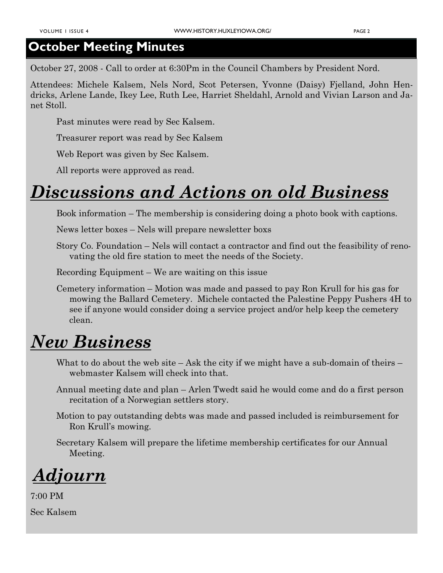#### **October Meeting Minutes**

October 27, 2008 - Call to order at 6:30Pm in the Council Chambers by President Nord.

Attendees: Michele Kalsem, Nels Nord, Scot Petersen, Yvonne (Daisy) Fjelland, John Hendricks, Arlene Lande, Ikey Lee, Ruth Lee, Harriet Sheldahl, Arnold and Vivian Larson and Janet Stoll.

Past minutes were read by Sec Kalsem.

Treasurer report was read by Sec Kalsem

Web Report was given by Sec Kalsem.

All reports were approved as read.

### *Discussions and Actions on old Business*

Book information – The membership is considering doing a photo book with captions.

News letter boxes – Nels will prepare newsletter boxs

Story Co. Foundation – Nels will contact a contractor and find out the feasibility of renovating the old fire station to meet the needs of the Society.

Recording Equipment – We are waiting on this issue

Cemetery information – Motion was made and passed to pay Ron Krull for his gas for mowing the Ballard Cemetery. Michele contacted the Palestine Peppy Pushers 4H to see if anyone would consider doing a service project and/or help keep the cemetery clean.

### *New Business*

- What to do about the web site Ask the city if we might have a sub-domain of theirs webmaster Kalsem will check into that.
- Annual meeting date and plan Arlen Twedt said he would come and do a first person recitation of a Norwegian settlers story.
- Motion to pay outstanding debts was made and passed included is reimbursement for Ron Krull's mowing.

Secretary Kalsem will prepare the lifetime membership certificates for our Annual Meeting.

*Adjourn*

7:00 PM Sec Kalsem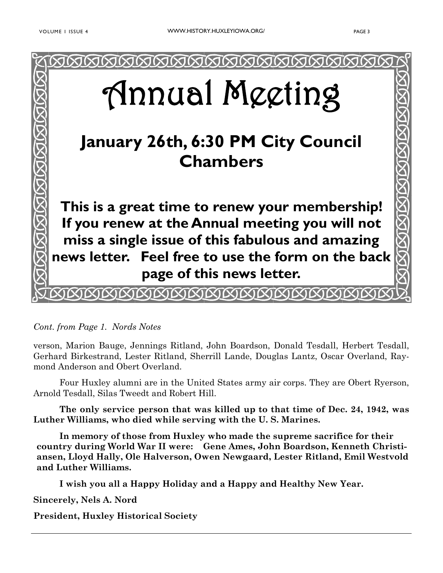

*Cont. from Page 1. Nords Notes*

verson, Marion Bauge, Jennings Ritland, John Boardson, Donald Tesdall, Herbert Tesdall, Gerhard Birkestrand, Lester Ritland, Sherrill Lande, Douglas Lantz, Oscar Overland, Raymond Anderson and Obert Overland.

Four Huxley alumni are in the United States army air corps. They are Obert Ryerson, Arnold Tesdall, Silas Tweedt and Robert Hill.

**The only service person that was killed up to that time of Dec. 24, 1942, was Luther Williams, who died while serving with the U. S. Marines.**

**In memory of those from Huxley who made the supreme sacrifice for their country during World War II were: Gene Ames, John Boardson, Kenneth Christiansen, Lloyd Hally, Ole Halverson, Owen Newgaard, Lester Ritland, Emil Westvold and Luther Williams.**

**I wish you all a Happy Holiday and a Happy and Healthy New Year.**

**Sincerely, Nels A. Nord**

**President, Huxley Historical Society**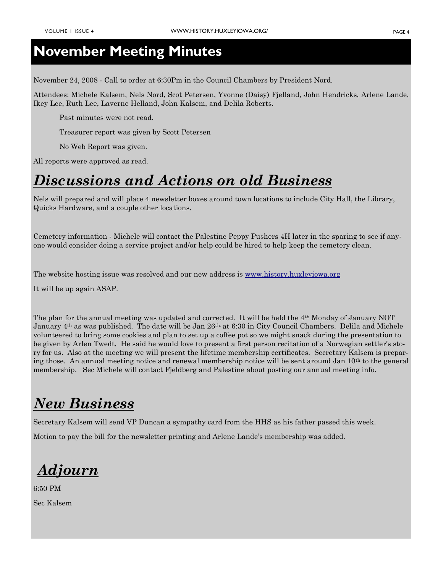#### **November Meeting Minutes**

November 24, 2008 - Call to order at 6:30Pm in the Council Chambers by President Nord.

Attendees: Michele Kalsem, Nels Nord, Scot Petersen, Yvonne (Daisy) Fjelland, John Hendricks, Arlene Lande, Ikey Lee, Ruth Lee, Laverne Helland, John Kalsem, and Delila Roberts.

Past minutes were not read.

Treasurer report was given by Scott Petersen

No Web Report was given.

All reports were approved as read.

#### *Discussions and Actions on old Business*

Nels will prepared and will place 4 newsletter boxes around town locations to include City Hall, the Library, Quicks Hardware, and a couple other locations.

Cemetery information - Michele will contact the Palestine Peppy Pushers 4H later in the sparing to see if anyone would consider doing a service project and/or help could be hired to help keep the cemetery clean.

The website hosting issue was resolved and our new address is [www.history.huxleyiowa.org](http://www.history.huxleyiowa.org/)

It will be up again ASAP.

The plan for the annual meeting was updated and corrected. It will be held the 4th Monday of January NOT January 4th as was published. The date will be Jan 26th. at 6:30 in City Council Chambers. Delila and Michele volunteered to bring some cookies and plan to set up a coffee pot so we might snack during the presentation to be given by Arlen Twedt. He said he would love to present a first person recitation of a Norwegian settler's story for us. Also at the meeting we will present the lifetime membership certificates. Secretary Kalsem is preparing those. An annual meeting notice and renewal membership notice will be sent around Jan 10th to the general membership. Sec Michele will contact Fjeldberg and Palestine about posting our annual meeting info.

### *New Business*

Secretary Kalsem will send VP Duncan a sympathy card from the HHS as his father passed this week.

Motion to pay the bill for the newsletter printing and Arlene Lande's membership was added.

*Adjourn*

6:50 PM Sec Kalsem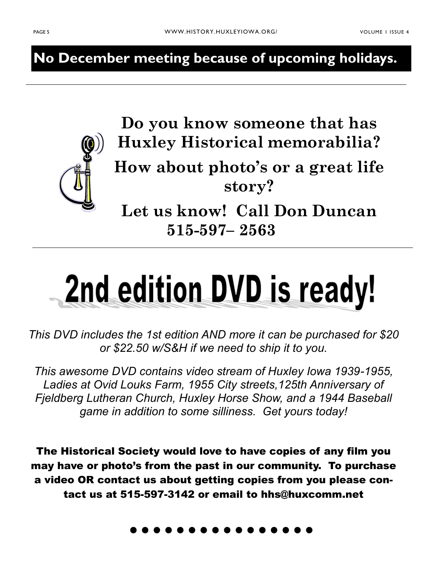**No December meeting because of upcoming holidays.**



**Do you know someone that has Huxley Historical memorabilia? How about photo's or a great life story?**

**Let us know! Call Don Duncan 515-597– 2563**

# 2nd edition DVD is ready!

*This DVD includes the 1st edition AND more it can be purchased for \$20 or \$22.50 w/S&H if we need to ship it to you.*

*This awesome DVD contains video stream of Huxley Iowa 1939-1955, Ladies at Ovid Louks Farm, 1955 City streets,125th Anniversary of Fjeldberg Lutheran Church, Huxley Horse Show, and a 1944 Baseball game in addition to some silliness. Get yours today!* 

The Historical Society would love to have copies of any film you may have or photo's from the past in our community. To purchase a video OR contact us about getting copies from you please contact us at 515-597-3142 or email to hhs@huxcomm.net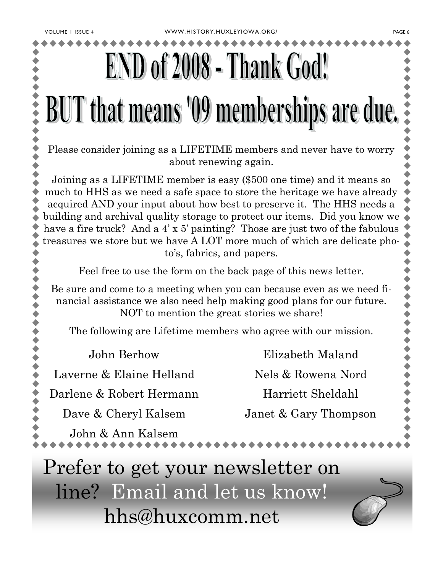## **BUT** that means '09 memberships are due.

Please consider joining as a LIFETIME members and never have to worry about renewing again.

Joining as a LIFETIME member is easy (\$500 one time) and it means so much to HHS as we need a safe space to store the heritage we have already acquired AND your input about how best to preserve it. The HHS needs a building and archival quality storage to protect our items. Did you know we have a fire truck? And a 4' x 5' painting? Those are just two of the fabulous treasures we store but we have A LOT more much of which are delicate photo's, fabrics, and papers.

Feel free to use the form on the back page of this news letter.

Be sure and come to a meeting when you can because even as we need financial assistance we also need help making good plans for our future. NOT to mention the great stories we share!

The following are Lifetime members who agree with our mission.

John Berhow

Laverne & Elaine Helland

Darlene & Robert Hermann

Dave & Cheryl Kalsem

Elizabeth Maland Nels & Rowena Nord Harriett Sheldahl Janet & Gary Thompson

John & Ann Kalsem

Prefer to get your newsletter on line? Email and let us know! hhs@huxcomm.net



+ + + + + + + + + + +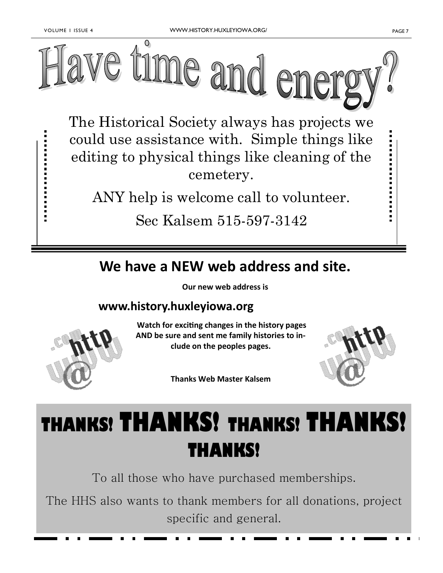---------------



The Historical Society always has projects we could use assistance with. Simple things like editing to physical things like cleaning of the cemetery.

ANY help is welcome call to volunteer.

Sec Kalsem 515-597-3142

#### **We have a NEW web address and site.**

**Our new web address is**

#### **www.history.huxleyiowa.org**



**Watch for exciting changes in the history pages AND be sure and sent me family histories to include on the peoples pages.** 

**Thanks Web Master Kalsem**



## **THANKS! THANKS! THANKS! THANKS! THANKS!**

To all those who have purchased memberships.

The HHS also wants to thank members for all donations, project specific and general.